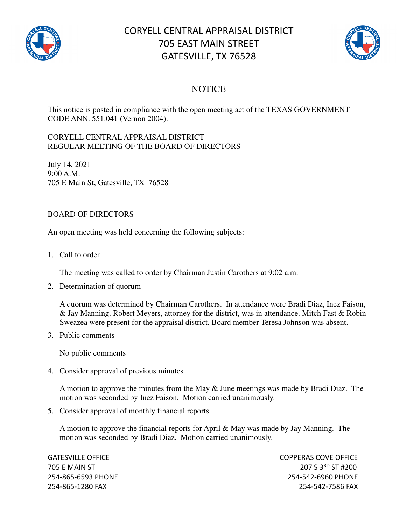

## CORYELL CENTRAL APPRAISAL DISTRICT 705 EAST MAIN STREET GATESVILLE, TX 76528



## **NOTICE**

This notice is posted in compliance with the open meeting act of the TEXAS GOVERNMENT CODE ANN. 551.041 (Vernon 2004).

## CORYELL CENTRAL APPRAISAL DISTRICT REGULAR MEETING OF THE BOARD OF DIRECTORS

July 14, 2021 9:00 A.M. 705 E Main St, Gatesville, TX 76528

## BOARD OF DIRECTORS

An open meeting was held concerning the following subjects:

1. Call to order

The meeting was called to order by Chairman Justin Carothers at 9:02 a.m.

2. Determination of quorum

A quorum was determined by Chairman Carothers. In attendance were Bradi Diaz, Inez Faison, & Jay Manning. Robert Meyers, attorney for the district, was in attendance. Mitch Fast & Robin Sweazea were present for the appraisal district. Board member Teresa Johnson was absent.

3. Public comments

No public comments

4. Consider approval of previous minutes

A motion to approve the minutes from the May & June meetings was made by Bradi Diaz. The motion was seconded by Inez Faison. Motion carried unanimously.

5. Consider approval of monthly financial reports

A motion to approve the financial reports for April & May was made by Jay Manning. The motion was seconded by Bradi Diaz. Motion carried unanimously.

GATESVILLE OFFICE **COPPERAS COVE OF EXAMPLE 2** 705 E MAIN ST 207 S 3RD ST #200 254-865-6593 PHONE 254-542-6960 PHONE 254-865-1280 FAX 254-542-7586 FAX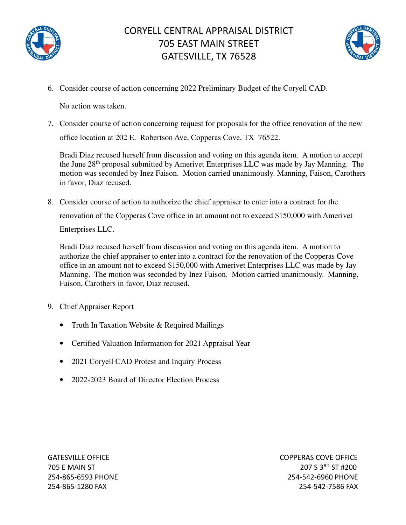



6. Consider course of action concerning 2022 Preliminary Budget of the Coryell CAD.

No action was taken.

7. Consider course of action concerning request for proposals for the office renovation of the new office location at 202 E. Robertson Ave, Copperas Cove, TX 76522.

Bradi Diaz recused herself from discussion and voting on this agenda item. A motion to accept the June 28th proposal submitted by Amerivet Enterprises LLC was made by Jay Manning. The motion was seconded by Inez Faison. Motion carried unanimously. Manning, Faison, Carothers in favor, Diaz recused.

8. Consider course of action to authorize the chief appraiser to enter into a contract for the

renovation of the Copperas Cove office in an amount not to exceed \$150,000 with Amerivet

Enterprises LLC.

Bradi Diaz recused herself from discussion and voting on this agenda item. A motion to authorize the chief appraiser to enter into a contract for the renovation of the Copperas Cove office in an amount not to exceed \$150,000 with Amerivet Enterprises LLC was made by Jay Manning. The motion was seconded by Inez Faison. Motion carried unanimously. Manning, Faison, Carothers in favor, Diaz recused.

- 9. Chief Appraiser Report
	- Truth In Taxation Website & Required Mailings
	- Certified Valuation Information for 2021 Appraisal Year
	- 2021 Coryell CAD Protest and Inquiry Process
	- 2022-2023 Board of Director Election Process

GATESVILLE OFFICE **COPPERAS COVE OF EXAMPLE 2** 705 E MAIN ST 207 S 3RD ST #200 254-865-6593 PHONE 254-542-6960 PHONE 254-865-1280 FAX 254-542-7586 FAX